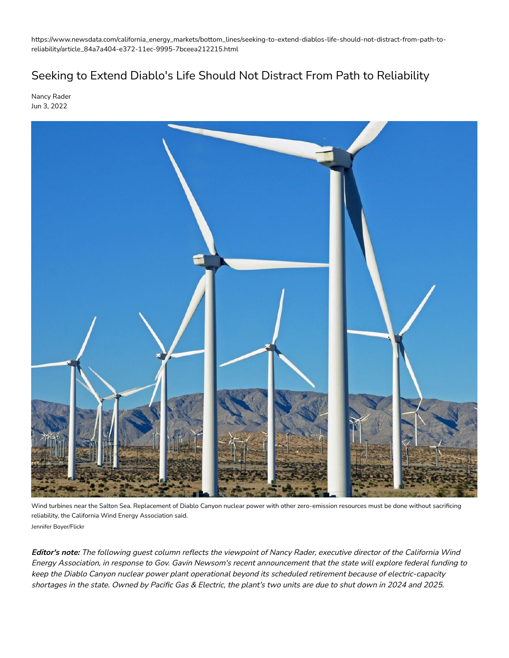https://www.newsdata.com/california\_energy\_markets/bottom\_lines/seeking-to-extend-diablos-life-should-not-distract-from-path-toreliability/article\_84a7a404-e372-11ec-9995-7bceea212215.html

## Seeking to Extend Diablo's Life Should Not Distract From Path to Reliability

Nancy Rader Jun 3, 2022



Wind turbines near the Salton Sea. Replacement of Diablo Canyon nuclear power with other zero-emission resources must be done without sacrificing reliability, the California Wind Energy Association said. Jennifer Boyer/Flickr

**Editor's note:** The following guest column reflects the viewpoint of Nancy Rader, executive director of the California Wind Energy Association, in response to Gov. Gavin Newsom's recent announcement that the state will explore federal funding to keep the Diablo Canyon nuclear power plant operational beyond its scheduled retirement because of electric-capacity shortages in the state. Owned by Pacific Gas & Electric, the plant's two units are due to shut down in 2024 and 2025.